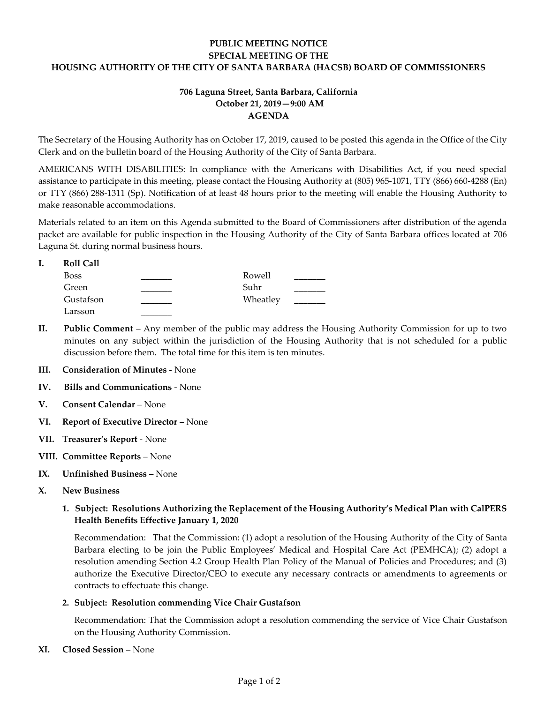# **PUBLIC MEETING NOTICE SPECIAL MEETING OF THE HOUSING AUTHORITY OF THE CITY OF SANTA BARBARA (HACSB) BOARD OF COMMISSIONERS**

### **706 Laguna Street, Santa Barbara, California October 21, 2019—9:00 AM AGENDA**

The Secretary of the Housing Authority has on October 17, 2019, caused to be posted this agenda in the Office of the City Clerk and on the bulletin board of the Housing Authority of the City of Santa Barbara.

AMERICANS WITH DISABILITIES: In compliance with the Americans with Disabilities Act, if you need special assistance to participate in this meeting, please contact the Housing Authority at (805) 965-1071, TTY (866) 660-4288 (En) or TTY (866) 288-1311 (Sp). Notification of at least 48 hours prior to the meeting will enable the Housing Authority to make reasonable accommodations.

Materials related to an item on this Agenda submitted to the Board of Commissioners after distribution of the agenda packet are available for public inspection in the Housing Authority of the City of Santa Barbara offices located at 706 Laguna St. during normal business hours.

| <b>Roll Call</b> |          |  |
|------------------|----------|--|
| <b>Boss</b>      | Rowell   |  |
| Green            | Suhr     |  |
| Gustafson        | Wheatley |  |
| Larsson          |          |  |

- **II. Public Comment** Any member of the public may address the Housing Authority Commission for up to two minutes on any subject within the jurisdiction of the Housing Authority that is not scheduled for a public discussion before them. The total time for this item is ten minutes.
- **III. Consideration of Minutes**  None
- **IV. Bills and Communications** None
- **V. Consent Calendar** None
- **VI. Report of Executive Director** None
- **VII. Treasurer's Report**  None
- **VIII. Committee Reports**  None
- **IX. Unfinished Business**  None
- **X. New Business**

### **1. Subject: Resolutions Authorizing the Replacement of the Housing Authority's Medical Plan with CalPERS Health Benefits Effective January 1, 2020**

[Recommendation: That the Commission: \(1\) adopt a resolution of the Housing Authority of the City of Santa](https://hacsb.org/download/meetings_2019/items/10_october/Item-X.1_specialmeeting.pdf)  Barbara electing to be join the Public Employees' Medical and Hospital Care Act (PEMHCA); (2) adopt a resolution amending Section 4.2 Group Health Plan Policy of the Manual of Policies and Procedures; and (3) authorize the Executive Director/CEO to execute any necessary contracts or amendments to agreements or contracts to effectuate this change.

#### **2. Subject: Resolution commending Vice Chair Gustafson**

[Recommendation: That the Commission adopt a resolution commending the service of Vice Chair Gustafson](https://hacsb.org/download/meetings_2019/items/10_october/Item-X.2_specialmeeting_2.pdf) on the Housing Authority Commission.

**XI. Closed Session** – None